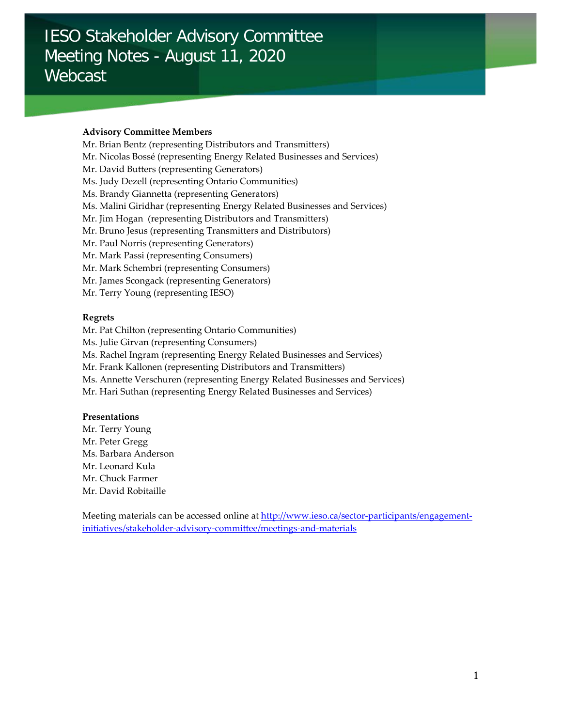# IESO Stakeholder Advisory Committee Meeting Notes - August 11, 2020 Webcast

## **Advisory Committee Members**

- Mr. Brian Bentz (representing Distributors and Transmitters)
- Mr. Nicolas Bossé (representing Energy Related Businesses and Services)
- Mr. David Butters (representing Generators)
- Ms. Judy Dezell (representing Ontario Communities)
- Ms. Brandy Giannetta (representing Generators)
- Ms. Malini Giridhar (representing Energy Related Businesses and Services)
- Mr. Jim Hogan (representing Distributors and Transmitters)
- Mr. Bruno Jesus (representing Transmitters and Distributors)
- Mr. Paul Norris (representing Generators)
- Mr. Mark Passi (representing Consumers)
- Mr. Mark Schembri (representing Consumers)
- Mr. James Scongack (representing Generators)
- Mr. Terry Young (representing IESO)

## **Regrets**

- Mr. Pat Chilton (representing Ontario Communities)
- Ms. Julie Girvan (representing Consumers)
- Ms. Rachel Ingram (representing Energy Related Businesses and Services)
- Mr. Frank Kallonen (representing Distributors and Transmitters)
- Ms. Annette Verschuren (representing Energy Related Businesses and Services)
- Mr. Hari Suthan (representing Energy Related Businesses and Services)

#### **Presentations**

Mr. Terry Young Mr. Peter Gregg Ms. Barbara Anderson Mr. Leonard Kula Mr. Chuck Farmer Mr. David Robitaille

Meeting materials can be accessed online a[t http://www.ieso.ca/sector-participants/engagement](http://www.ieso.ca/sector-participants/engagement-initiatives/stakeholder-advisory-committee/meetings-and-materials)[initiatives/stakeholder-advisory-committee/meetings-and-materials](http://www.ieso.ca/sector-participants/engagement-initiatives/stakeholder-advisory-committee/meetings-and-materials)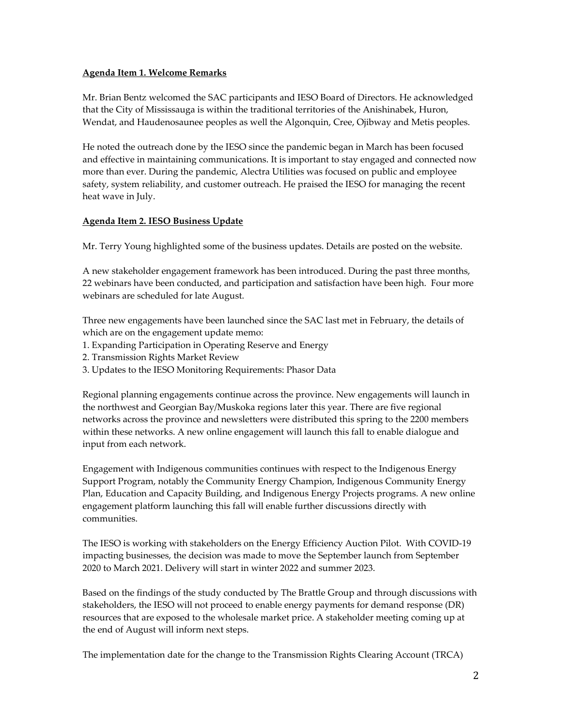## **Agenda Item 1. Welcome Remarks**

Mr. Brian Bentz welcomed the SAC participants and IESO Board of Directors. He acknowledged that the City of Mississauga is within the traditional territories of the Anishinabek, Huron, Wendat, and Haudenosaunee peoples as well the Algonquin, Cree, Ojibway and Metis peoples.

He noted the outreach done by the IESO since the pandemic began in March has been focused and effective in maintaining communications. It is important to stay engaged and connected now more than ever. During the pandemic, Alectra Utilities was focused on public and employee safety, system reliability, and customer outreach. He praised the IESO for managing the recent heat wave in July.

# **Agenda Item 2. IESO Business Update**

Mr. Terry Young highlighted some of the business updates. Details are posted on the website.

A new stakeholder engagement framework has been introduced. During the past three months, 22 webinars have been conducted, and participation and satisfaction have been high. Four more webinars are scheduled for late August.

Three new engagements have been launched since the SAC last met in February, the details of which are on the engagement update memo:

- 1. Expanding Participation in Operating Reserve and Energy
- 2. Transmission Rights Market Review
- 3. Updates to the IESO Monitoring Requirements: Phasor Data

Regional planning engagements continue across the province. New engagements will launch in the northwest and Georgian Bay/Muskoka regions later this year. There are five regional networks across the province and newsletters were distributed this spring to the 2200 members within these networks. A new online engagement will launch this fall to enable dialogue and input from each network.

Engagement with Indigenous communities continues with respect to the Indigenous Energy Support Program, notably the Community Energy Champion, Indigenous Community Energy Plan, Education and Capacity Building, and Indigenous Energy Projects programs. A new online engagement platform launching this fall will enable further discussions directly with communities.

The IESO is working with stakeholders on the Energy Efficiency Auction Pilot. With COVID-19 impacting businesses, the decision was made to move the September launch from September 2020 to March 2021. Delivery will start in winter 2022 and summer 2023.

Based on the findings of the study conducted by The Brattle Group and through discussions with stakeholders, the IESO will not proceed to enable energy payments for demand response (DR) resources that are exposed to the wholesale market price. A stakeholder meeting coming up at the end of August will inform next steps.

The implementation date for the change to the Transmission Rights Clearing Account (TRCA)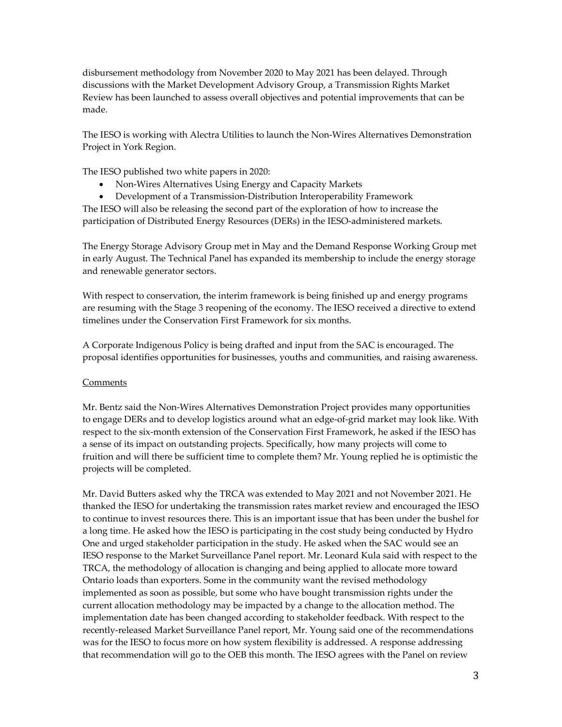disbursement methodology from November 2020 to May 2021 has been delayed. Through discussions with the Market Development Advisory Group, a Transmission Rights Market Review has been launched to assess overall objectives and potential improvements that can be made.

The IESO is working with Alectra Utilities to launch the Non-Wires Alternatives Demonstration Project in York Region.

The IESO published two white papers in 2020:

- Non-Wires Alternatives Using Energy and Capacity Markets
- Development of a Transmission-Distribution Interoperability Framework

The IESO will also be releasing the second part of the exploration of how to increase the participation of Distributed Energy Resources (DERs) in the IESO-administered markets.

The Energy Storage Advisory Group met in May and the Demand Response Working Group met in early August. The Technical Panel has expanded its membership to include the energy storage and renewable generator sectors.

With respect to conservation, the interim framework is being finished up and energy programs are resuming with the Stage 3 reopening of the economy. The IESO received a directive to extend timelines under the Conservation First Framework for six months.

A Corporate Indigenous Policy is being drafted and input from the SAC is encouraged. The proposal identifies opportunities for businesses, youths and communities, and raising awareness.

#### **Comments**

Mr. Bentz said the Non-Wires Alternatives Demonstration Project provides many opportunities to engage DERs and to develop logistics around what an edge-of-grid market may look like. With respect to the six-month extension of the Conservation First Framework, he asked if the IESO has a sense of its impact on outstanding projects. Specifically, how many projects will come to fruition and will there be sufficient time to complete them? Mr. Young replied he is optimistic the projects will be completed.

Mr. David Butters asked why the TRCA was extended to May 2021 and not November 2021. He thanked the IESO for undertaking the transmission rates market review and encouraged the IESO to continue to invest resources there. This is an important issue that has been under the bushel for a long time. He asked how the IESO is participating in the cost study being conducted by Hydro One and urged stakeholder participation in the study. He asked when the SAC would see an IESO response to the Market Surveillance Panel report. Mr. Leonard Kula said with respect to the TRCA, the methodology of allocation is changing and being applied to allocate more toward Ontario loads than exporters. Some in the community want the revised methodology implemented as soon as possible, but some who have bought transmission rights under the current allocation methodology may be impacted by a change to the allocation method. The implementation date has been changed according to stakeholder feedback. With respect to the recently-released Market Surveillance Panel report, Mr. Young said one of the recommendations was for the IESO to focus more on how system flexibility is addressed. A response addressing that recommendation will go to the OEB this month. The IESO agrees with the Panel on review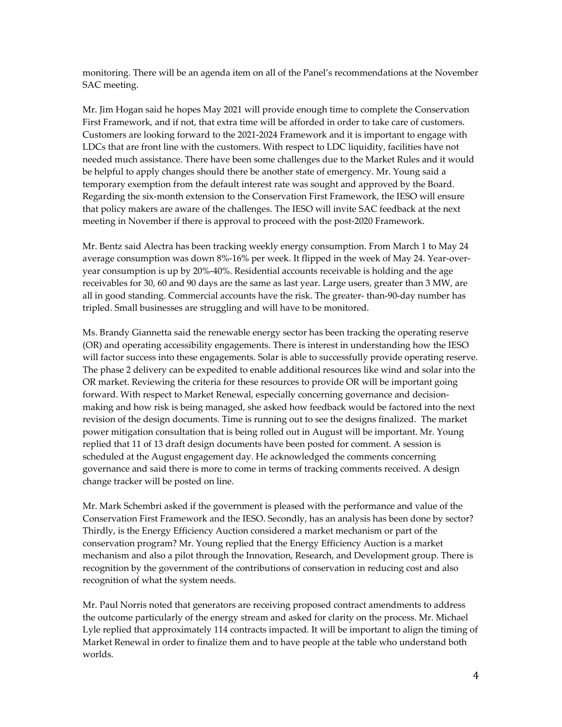monitoring. There will be an agenda item on all of the Panel's recommendations at the November SAC meeting.

Mr. Jim Hogan said he hopes May 2021 will provide enough time to complete the Conservation First Framework, and if not, that extra time will be afforded in order to take care of customers. Customers are looking forward to the 2021-2024 Framework and it is important to engage with LDCs that are front line with the customers. With respect to LDC liquidity, facilities have not needed much assistance. There have been some challenges due to the Market Rules and it would be helpful to apply changes should there be another state of emergency. Mr. Young said a temporary exemption from the default interest rate was sought and approved by the Board. Regarding the six-month extension to the Conservation First Framework, the IESO will ensure that policy makers are aware of the challenges. The IESO will invite SAC feedback at the next meeting in November if there is approval to proceed with the post-2020 Framework.

Mr. Bentz said Alectra has been tracking weekly energy consumption. From March 1 to May 24 average consumption was down 8%-16% per week. It flipped in the week of May 24. Year-overyear consumption is up by 20%-40%. Residential accounts receivable is holding and the age receivables for 30, 60 and 90 days are the same as last year. Large users, greater than 3 MW, are all in good standing. Commercial accounts have the risk. The greater- than-90-day number has tripled. Small businesses are struggling and will have to be monitored.

Ms. Brandy Giannetta said the renewable energy sector has been tracking the operating reserve (OR) and operating accessibility engagements. There is interest in understanding how the IESO will factor success into these engagements. Solar is able to successfully provide operating reserve. The phase 2 delivery can be expedited to enable additional resources like wind and solar into the OR market. Reviewing the criteria for these resources to provide OR will be important going forward. With respect to Market Renewal, especially concerning governance and decisionmaking and how risk is being managed, she asked how feedback would be factored into the next revision of the design documents. Time is running out to see the designs finalized. The market power mitigation consultation that is being rolled out in August will be important. Mr. Young replied that 11 of 13 draft design documents have been posted for comment. A session is scheduled at the August engagement day. He acknowledged the comments concerning governance and said there is more to come in terms of tracking comments received. A design change tracker will be posted on line.

Mr. Mark Schembri asked if the government is pleased with the performance and value of the Conservation First Framework and the IESO. Secondly, has an analysis has been done by sector? Thirdly, is the Energy Efficiency Auction considered a market mechanism or part of the conservation program? Mr. Young replied that the Energy Efficiency Auction is a market mechanism and also a pilot through the Innovation, Research, and Development group. There is recognition by the government of the contributions of conservation in reducing cost and also recognition of what the system needs.

Mr. Paul Norris noted that generators are receiving proposed contract amendments to address the outcome particularly of the energy stream and asked for clarity on the process. Mr. Michael Lyle replied that approximately 114 contracts impacted. It will be important to align the timing of Market Renewal in order to finalize them and to have people at the table who understand both worlds.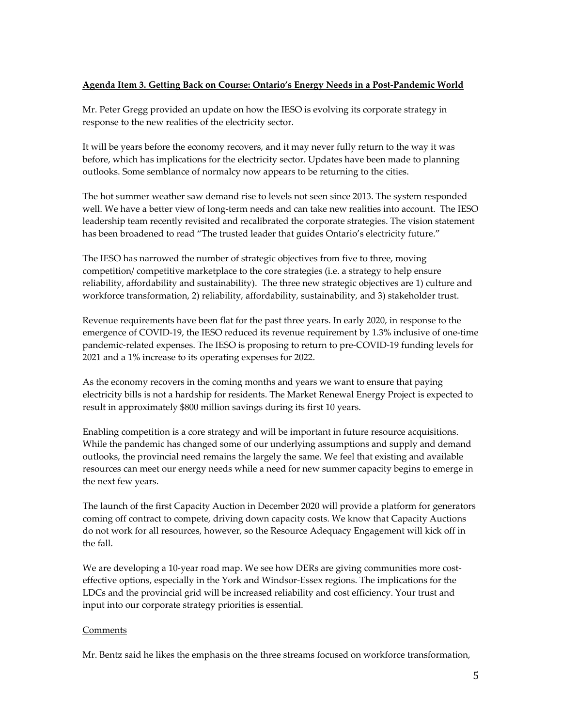# **Agenda Item 3. Getting Back on Course: Ontario's Energy Needs in a Post-Pandemic World**

Mr. Peter Gregg provided an update on how the IESO is evolving its corporate strategy in response to the new realities of the electricity sector.

It will be years before the economy recovers, and it may never fully return to the way it was before, which has implications for the electricity sector. Updates have been made to planning outlooks. Some semblance of normalcy now appears to be returning to the cities.

The hot summer weather saw demand rise to levels not seen since 2013. The system responded well. We have a better view of long-term needs and can take new realities into account. The IESO leadership team recently revisited and recalibrated the corporate strategies. The vision statement has been broadened to read "The trusted leader that guides Ontario's electricity future."

The IESO has narrowed the number of strategic objectives from five to three, moving competition/ competitive marketplace to the core strategies (i.e. a strategy to help ensure reliability, affordability and sustainability). The three new strategic objectives are 1) culture and workforce transformation, 2) reliability, affordability, sustainability, and 3) stakeholder trust.

Revenue requirements have been flat for the past three years. In early 2020, in response to the emergence of COVID-19, the IESO reduced its revenue requirement by 1.3% inclusive of one-time pandemic-related expenses. The IESO is proposing to return to pre-COVID-19 funding levels for 2021 and a 1% increase to its operating expenses for 2022.

As the economy recovers in the coming months and years we want to ensure that paying electricity bills is not a hardship for residents. The Market Renewal Energy Project is expected to result in approximately \$800 million savings during its first 10 years.

Enabling competition is a core strategy and will be important in future resource acquisitions. While the pandemic has changed some of our underlying assumptions and supply and demand outlooks, the provincial need remains the largely the same. We feel that existing and available resources can meet our energy needs while a need for new summer capacity begins to emerge in the next few years.

The launch of the first Capacity Auction in December 2020 will provide a platform for generators coming off contract to compete, driving down capacity costs. We know that Capacity Auctions do not work for all resources, however, so the Resource Adequacy Engagement will kick off in the fall.

We are developing a 10-year road map. We see how DERs are giving communities more costeffective options, especially in the York and Windsor-Essex regions. The implications for the LDCs and the provincial grid will be increased reliability and cost efficiency. Your trust and input into our corporate strategy priorities is essential.

## **Comments**

Mr. Bentz said he likes the emphasis on the three streams focused on workforce transformation,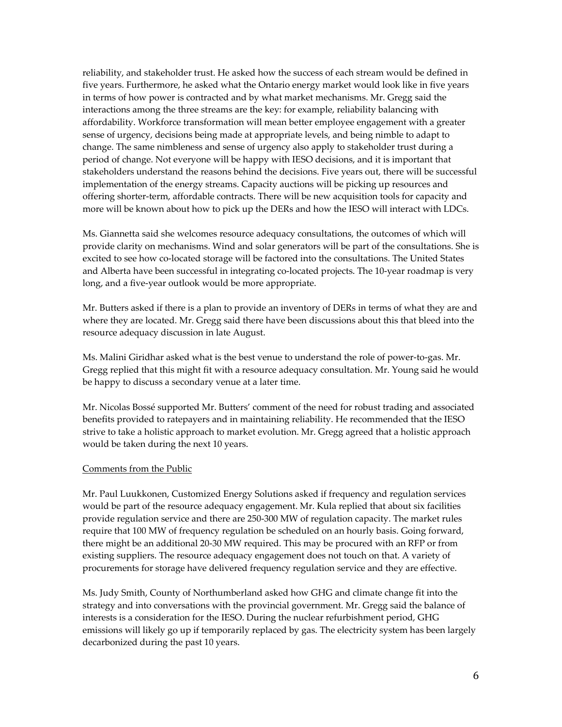reliability, and stakeholder trust. He asked how the success of each stream would be defined in five years. Furthermore, he asked what the Ontario energy market would look like in five years in terms of how power is contracted and by what market mechanisms. Mr. Gregg said the interactions among the three streams are the key: for example, reliability balancing with affordability. Workforce transformation will mean better employee engagement with a greater sense of urgency, decisions being made at appropriate levels, and being nimble to adapt to change. The same nimbleness and sense of urgency also apply to stakeholder trust during a period of change. Not everyone will be happy with IESO decisions, and it is important that stakeholders understand the reasons behind the decisions. Five years out, there will be successful implementation of the energy streams. Capacity auctions will be picking up resources and offering shorter-term, affordable contracts. There will be new acquisition tools for capacity and more will be known about how to pick up the DERs and how the IESO will interact with LDCs.

Ms. Giannetta said she welcomes resource adequacy consultations, the outcomes of which will provide clarity on mechanisms. Wind and solar generators will be part of the consultations. She is excited to see how co-located storage will be factored into the consultations. The United States and Alberta have been successful in integrating co-located projects. The 10-year roadmap is very long, and a five-year outlook would be more appropriate.

Mr. Butters asked if there is a plan to provide an inventory of DERs in terms of what they are and where they are located. Mr. Gregg said there have been discussions about this that bleed into the resource adequacy discussion in late August.

Ms. Malini Giridhar asked what is the best venue to understand the role of power-to-gas. Mr. Gregg replied that this might fit with a resource adequacy consultation. Mr. Young said he would be happy to discuss a secondary venue at a later time.

Mr. Nicolas Bossé supported Mr. Butters' comment of the need for robust trading and associated benefits provided to ratepayers and in maintaining reliability. He recommended that the IESO strive to take a holistic approach to market evolution. Mr. Gregg agreed that a holistic approach would be taken during the next 10 years.

#### Comments from the Public

Mr. Paul Luukkonen, Customized Energy Solutions asked if frequency and regulation services would be part of the resource adequacy engagement. Mr. Kula replied that about six facilities provide regulation service and there are 250-300 MW of regulation capacity. The market rules require that 100 MW of frequency regulation be scheduled on an hourly basis. Going forward, there might be an additional 20-30 MW required. This may be procured with an RFP or from existing suppliers. The resource adequacy engagement does not touch on that. A variety of procurements for storage have delivered frequency regulation service and they are effective.

Ms. Judy Smith, County of Northumberland asked how GHG and climate change fit into the strategy and into conversations with the provincial government. Mr. Gregg said the balance of interests is a consideration for the IESO. During the nuclear refurbishment period, GHG emissions will likely go up if temporarily replaced by gas. The electricity system has been largely decarbonized during the past 10 years.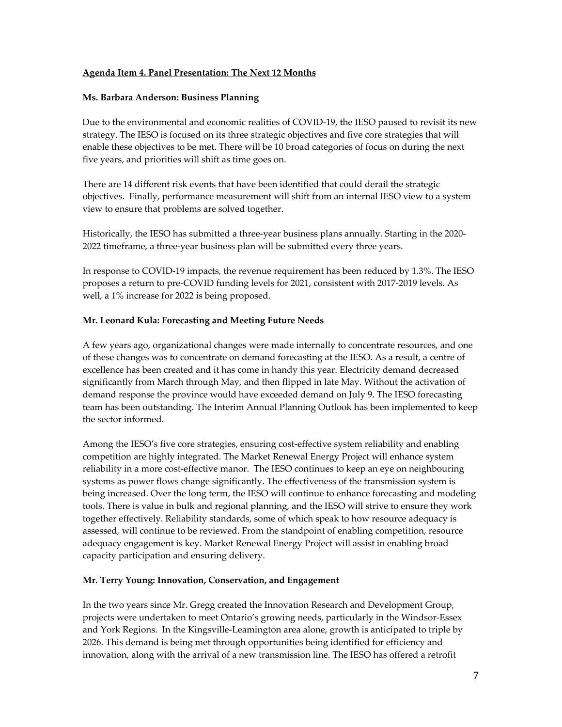# **Agenda Item 4. Panel Presentation: The Next 12 Months**

#### **Ms. Barbara Anderson: Business Planning**

Due to the environmental and economic realities of COVID-19, the IESO paused to revisit its new strategy. The IESO is focused on its three strategic objectives and five core strategies that will enable these objectives to be met. There will be 10 broad categories of focus on during the next five years, and priorities will shift as time goes on.

There are 14 different risk events that have been identified that could derail the strategic objectives. Finally, performance measurement will shift from an internal IESO view to a system view to ensure that problems are solved together.

Historically, the IESO has submitted a three-year business plans annually. Starting in the 2020- 2022 timeframe, a three-year business plan will be submitted every three years.

In response to COVID-19 impacts, the revenue requirement has been reduced by 1.3%. The IESO proposes a return to pre-COVID funding levels for 2021, consistent with 2017-2019 levels. As well, a 1% increase for 2022 is being proposed.

## **Mr. Leonard Kula: Forecasting and Meeting Future Needs**

A few years ago, organizational changes were made internally to concentrate resources, and one of these changes was to concentrate on demand forecasting at the IESO. As a result, a centre of excellence has been created and it has come in handy this year. Electricity demand decreased significantly from March through May, and then flipped in late May. Without the activation of demand response the province would have exceeded demand on July 9. The IESO forecasting team has been outstanding. The Interim Annual Planning Outlook has been implemented to keep the sector informed.

Among the IESO's five core strategies, ensuring cost-effective system reliability and enabling competition are highly integrated. The Market Renewal Energy Project will enhance system reliability in a more cost-effective manor. The IESO continues to keep an eye on neighbouring systems as power flows change significantly. The effectiveness of the transmission system is being increased. Over the long term, the IESO will continue to enhance forecasting and modeling tools. There is value in bulk and regional planning, and the IESO will strive to ensure they work together effectively. Reliability standards, some of which speak to how resource adequacy is assessed, will continue to be reviewed. From the standpoint of enabling competition, resource adequacy engagement is key. Market Renewal Energy Project will assist in enabling broad capacity participation and ensuring delivery.

#### **Mr. Terry Young: Innovation, Conservation, and Engagement**

In the two years since Mr. Gregg created the Innovation Research and Development Group, projects were undertaken to meet Ontario's growing needs, particularly in the Windsor-Essex and York Regions. In the Kingsville-Leamington area alone, growth is anticipated to triple by 2026. This demand is being met through opportunities being identified for efficiency and innovation, along with the arrival of a new transmission line. The IESO has offered a retrofit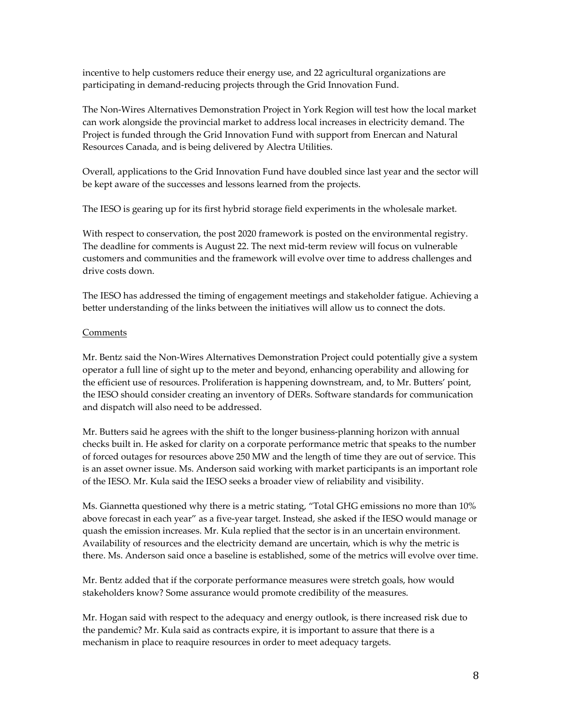incentive to help customers reduce their energy use, and 22 agricultural organizations are participating in demand-reducing projects through the Grid Innovation Fund.

The Non-Wires Alternatives Demonstration Project in York Region will test how the local market can work alongside the provincial market to address local increases in electricity demand. The Project is funded through the Grid Innovation Fund with support from Enercan and Natural Resources Canada, and is being delivered by Alectra Utilities.

Overall, applications to the Grid Innovation Fund have doubled since last year and the sector will be kept aware of the successes and lessons learned from the projects.

The IESO is gearing up for its first hybrid storage field experiments in the wholesale market.

With respect to conservation, the post 2020 framework is posted on the environmental registry. The deadline for comments is August 22. The next mid-term review will focus on vulnerable customers and communities and the framework will evolve over time to address challenges and drive costs down.

The IESO has addressed the timing of engagement meetings and stakeholder fatigue. Achieving a better understanding of the links between the initiatives will allow us to connect the dots.

#### **Comments**

Mr. Bentz said the Non-Wires Alternatives Demonstration Project could potentially give a system operator a full line of sight up to the meter and beyond, enhancing operability and allowing for the efficient use of resources. Proliferation is happening downstream, and, to Mr. Butters' point, the IESO should consider creating an inventory of DERs. Software standards for communication and dispatch will also need to be addressed.

Mr. Butters said he agrees with the shift to the longer business-planning horizon with annual checks built in. He asked for clarity on a corporate performance metric that speaks to the number of forced outages for resources above 250 MW and the length of time they are out of service. This is an asset owner issue. Ms. Anderson said working with market participants is an important role of the IESO. Mr. Kula said the IESO seeks a broader view of reliability and visibility.

Ms. Giannetta questioned why there is a metric stating, "Total GHG emissions no more than 10% above forecast in each year" as a five-year target. Instead, she asked if the IESO would manage or quash the emission increases. Mr. Kula replied that the sector is in an uncertain environment. Availability of resources and the electricity demand are uncertain, which is why the metric is there. Ms. Anderson said once a baseline is established, some of the metrics will evolve over time.

Mr. Bentz added that if the corporate performance measures were stretch goals, how would stakeholders know? Some assurance would promote credibility of the measures.

Mr. Hogan said with respect to the adequacy and energy outlook, is there increased risk due to the pandemic? Mr. Kula said as contracts expire, it is important to assure that there is a mechanism in place to reaquire resources in order to meet adequacy targets.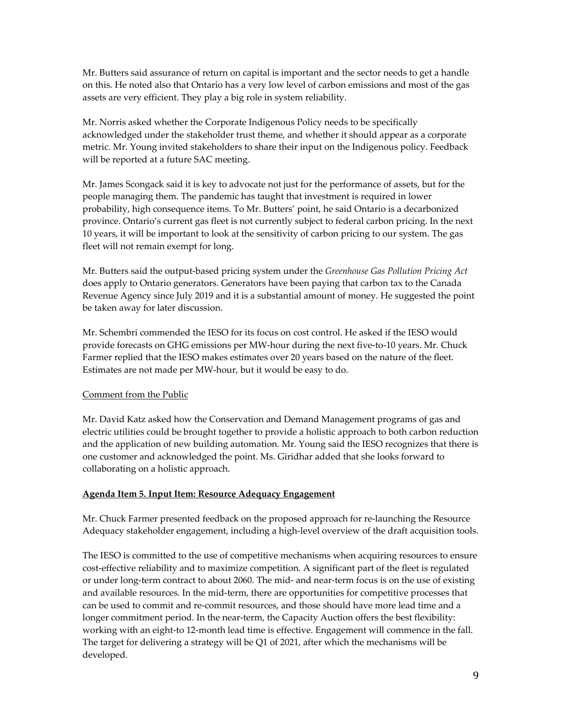Mr. Butters said assurance of return on capital is important and the sector needs to get a handle on this. He noted also that Ontario has a very low level of carbon emissions and most of the gas assets are very efficient. They play a big role in system reliability.

Mr. Norris asked whether the Corporate Indigenous Policy needs to be specifically acknowledged under the stakeholder trust theme, and whether it should appear as a corporate metric. Mr. Young invited stakeholders to share their input on the Indigenous policy. Feedback will be reported at a future SAC meeting.

Mr. James Scongack said it is key to advocate not just for the performance of assets, but for the people managing them. The pandemic has taught that investment is required in lower probability, high consequence items. To Mr. Butters' point, he said Ontario is a decarbonized province. Ontario's current gas fleet is not currently subject to federal carbon pricing. In the next 10 years, it will be important to look at the sensitivity of carbon pricing to our system. The gas fleet will not remain exempt for long.

Mr. Butters said the output-based pricing system under the *Greenhouse Gas Pollution Pricing Act* does apply to Ontario generators. Generators have been paying that carbon tax to the Canada Revenue Agency since July 2019 and it is a substantial amount of money. He suggested the point be taken away for later discussion.

Mr. Schembri commended the IESO for its focus on cost control. He asked if the IESO would provide forecasts on GHG emissions per MW-hour during the next five-to-10 years. Mr. Chuck Farmer replied that the IESO makes estimates over 20 years based on the nature of the fleet. Estimates are not made per MW-hour, but it would be easy to do.

# Comment from the Public

Mr. David Katz asked how the Conservation and Demand Management programs of gas and electric utilities could be brought together to provide a holistic approach to both carbon reduction and the application of new building automation. Mr. Young said the IESO recognizes that there is one customer and acknowledged the point. Ms. Giridhar added that she looks forward to collaborating on a holistic approach.

# **Agenda Item 5. Input Item: Resource Adequacy Engagement**

Mr. Chuck Farmer presented feedback on the proposed approach for re-launching the Resource Adequacy stakeholder engagement, including a high-level overview of the draft acquisition tools.

The IESO is committed to the use of competitive mechanisms when acquiring resources to ensure cost-effective reliability and to maximize competition. A significant part of the fleet is regulated or under long-term contract to about 2060. The mid- and near-term focus is on the use of existing and available resources. In the mid-term, there are opportunities for competitive processes that can be used to commit and re-commit resources, and those should have more lead time and a longer commitment period. In the near-term, the Capacity Auction offers the best flexibility: working with an eight-to 12-month lead time is effective. Engagement will commence in the fall. The target for delivering a strategy will be Q1 of 2021, after which the mechanisms will be developed.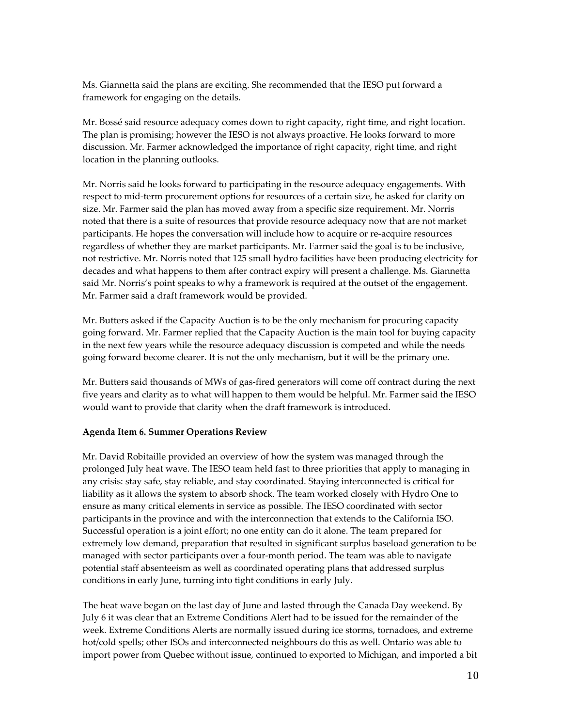Ms. Giannetta said the plans are exciting. She recommended that the IESO put forward a framework for engaging on the details.

Mr. Bossé said resource adequacy comes down to right capacity, right time, and right location. The plan is promising; however the IESO is not always proactive. He looks forward to more discussion. Mr. Farmer acknowledged the importance of right capacity, right time, and right location in the planning outlooks.

Mr. Norris said he looks forward to participating in the resource adequacy engagements. With respect to mid-term procurement options for resources of a certain size, he asked for clarity on size. Mr. Farmer said the plan has moved away from a specific size requirement. Mr. Norris noted that there is a suite of resources that provide resource adequacy now that are not market participants. He hopes the conversation will include how to acquire or re-acquire resources regardless of whether they are market participants. Mr. Farmer said the goal is to be inclusive, not restrictive. Mr. Norris noted that 125 small hydro facilities have been producing electricity for decades and what happens to them after contract expiry will present a challenge. Ms. Giannetta said Mr. Norris's point speaks to why a framework is required at the outset of the engagement. Mr. Farmer said a draft framework would be provided.

Mr. Butters asked if the Capacity Auction is to be the only mechanism for procuring capacity going forward. Mr. Farmer replied that the Capacity Auction is the main tool for buying capacity in the next few years while the resource adequacy discussion is competed and while the needs going forward become clearer. It is not the only mechanism, but it will be the primary one.

Mr. Butters said thousands of MWs of gas-fired generators will come off contract during the next five years and clarity as to what will happen to them would be helpful. Mr. Farmer said the IESO would want to provide that clarity when the draft framework is introduced.

# **Agenda Item 6. Summer Operations Review**

Mr. David Robitaille provided an overview of how the system was managed through the prolonged July heat wave. The IESO team held fast to three priorities that apply to managing in any crisis: stay safe, stay reliable, and stay coordinated. Staying interconnected is critical for liability as it allows the system to absorb shock. The team worked closely with Hydro One to ensure as many critical elements in service as possible. The IESO coordinated with sector participants in the province and with the interconnection that extends to the California ISO. Successful operation is a joint effort; no one entity can do it alone. The team prepared for extremely low demand, preparation that resulted in significant surplus baseload generation to be managed with sector participants over a four-month period. The team was able to navigate potential staff absenteeism as well as coordinated operating plans that addressed surplus conditions in early June, turning into tight conditions in early July.

The heat wave began on the last day of June and lasted through the Canada Day weekend. By July 6 it was clear that an Extreme Conditions Alert had to be issued for the remainder of the week. Extreme Conditions Alerts are normally issued during ice storms, tornadoes, and extreme hot/cold spells; other ISOs and interconnected neighbours do this as well. Ontario was able to import power from Quebec without issue, continued to exported to Michigan, and imported a bit